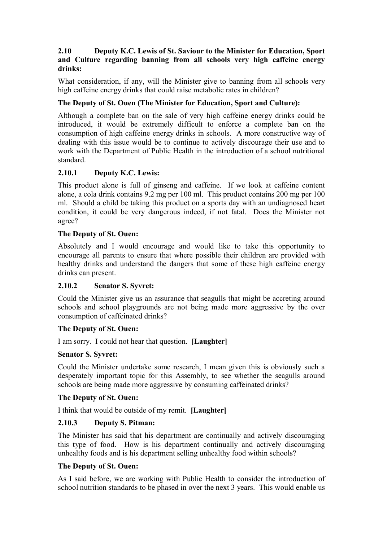### **2.10 Deputy K.C. Lewis of St. Saviour to the Minister for Education, Sport and Culture regarding banning from all schools very high caffeine energy drinks:**

What consideration, if any, will the Minister give to banning from all schools very high caffeine energy drinks that could raise metabolic rates in children?

## **The Deputy of St. Ouen (The Minister for Education, Sport and Culture):**

Although a complete ban on the sale of very high caffeine energy drinks could be introduced, it would be extremely difficult to enforce a complete ban on the consumption of high caffeine energy drinks in schools. A more constructive way of dealing with this issue would be to continue to actively discourage their use and to work with the Department of Public Health in the introduction of a school nutritional standard.

## **2.10.1 Deputy K.C. Lewis:**

This product alone is full of ginseng and caffeine. If we look at caffeine content alone, a cola drink contains 9.2 mg per 100 ml. This product contains 200 mg per 100 ml. Should a child be taking this product on a sports day with an undiagnosed heart condition, it could be very dangerous indeed, if not fatal. Does the Minister not agree?

### **The Deputy of St. Ouen:**

Absolutely and I would encourage and would like to take this opportunity to encourage all parents to ensure that where possible their children are provided with healthy drinks and understand the dangers that some of these high caffeine energy drinks can present.

### **2.10.2 Senator S. Syvret:**

Could the Minister give us an assurance that seagulls that might be accreting around schools and school playgrounds are not being made more aggressive by the over consumption of caffeinated drinks?

### **The Deputy of St. Ouen:**

I am sorry. I could not hear that question. **[Laughter]** 

### **Senator S. Syvret:**

Could the Minister undertake some research, I mean given this is obviously such a desperately important topic for this Assembly, to see whether the seagulls around schools are being made more aggressive by consuming caffeinated drinks?

### **The Deputy of St. Ouen:**

I think that would be outside of my remit. **[Laughter]** 

# **2.10.3 Deputy S. Pitman:**

The Minister has said that his department are continually and actively discouraging this type of food. How is his department continually and actively discouraging unhealthy foods and is his department selling unhealthy food within schools?

### **The Deputy of St. Ouen:**

As I said before, we are working with Public Health to consider the introduction of school nutrition standards to be phased in over the next 3 years. This would enable us